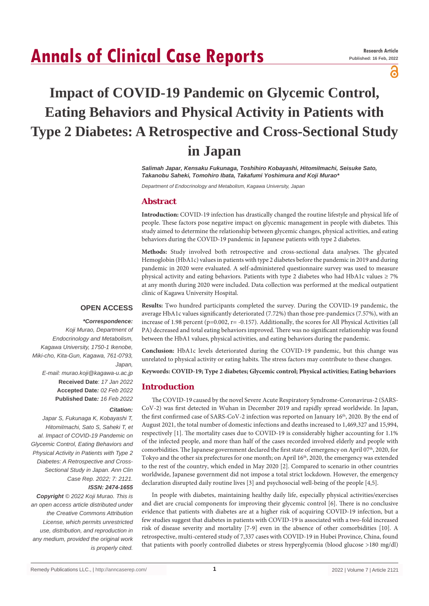# **Annals of Clinical Case Reports**

а

## **Impact of COVID‑19 Pandemic on Glycemic Control, Eating Behaviors and Physical Activity in Patients with Type 2 Diabetes: A Retrospective and Cross-Sectional Study in Japan**

*Salimah Japar, Kensaku Fukunaga, Toshihiro Kobayashi, HitomiImachi, Seisuke Sato, Takanobu Saheki, Tomohiro Ibata, Takafumi Yoshimura and Koji Murao\**

*Department of Endocrinology and Metabolism, Kagawa University, Japan*

## **Abstract**

**Introduction:** COVID-19 infection has drastically changed the routine lifestyle and physical life of people. These factors pose negative impact on glycemic management in people with diabetes. This study aimed to determine the relationship between glycemic changes, physical activities, and eating behaviors during the COVID-19 pandemic in Japanese patients with type 2 diabetes.

**Methods:** Study involved both retrospective and cross-sectional data analyses. The glycated Hemoglobin (HbA1c) values in patients with type 2 diabetes before the pandemic in 2019 and during pandemic in 2020 were evaluated. A self-administered questionnaire survey was used to measure physical activity and eating behaviors. Patients with type 2 diabetes who had HbA1c values  $\geq 7\%$ at any month during 2020 were included. Data collection was performed at the medical outpatient clinic of Kagawa University Hospital.

## **OPEN ACCESS**

## *\*Correspondence:*

*Koji Murao, Department of Endocrinology and Metabolism, Kagawa University, 1750-1 Ikenobe, Miki-cho, Kita-Gun, Kagawa, 761-0793, Japan, E-mail: murao.koji@kagawa-u.ac.jp* **Received Date**: *17 Jan 2022* **Accepted Date***: 02 Feb 2022* **Published Date***: 16 Feb 2022*

*Citation:* 

*Japar S, Fukunaga K, Kobayashi T, HitomiImachi, Sato S, Saheki T, et al. Impact of COVID-19 Pandemic on Glycemic Control, Eating Behaviors and Physical Activity in Patients with Type 2 Diabetes: A Retrospective and Cross-Sectional Study in Japan. Ann Clin Case Rep. 2022; 7: 2121. ISSN: 2474-1655*

*Copyright © 2022 Koji Murao. This is an open access article distributed under the Creative Commons Attribution License, which permits unrestricted use, distribution, and reproduction in any medium, provided the original work is properly cited.*

**Results:** Two hundred participants completed the survey. During the COVID-19 pandemic, the average HbA1c values significantly deteriorated (7.72%) than those pre-pandemics (7.57%), with an increase of 1.98 percent (p=0.002, r= -0.157). Additionally, the scores for All Physical Activities (all PA) decreased and total eating behaviors improved. There was no significant relationship was found between the HbA1 values, physical activities, and eating behaviors during the pandemic.

**Conclusion:** HbA1c levels deteriorated during the COVID-19 pandemic, but this change was unrelated to physical activity or eating habits. The stress factors may contribute to these changes.

**Keywords: COVID-19; Type 2 diabetes; Glycemic control; Physical activities; Eating behaviors**

## **Introduction**

The COVID-19 caused by the novel Severe Acute Respiratory Syndrome-Coronavirus-2 (SARS-CoV-2) was first detected in Wuhan in December 2019 and rapidly spread worldwide. In Japan, the first confirmed case of SARS-CoV-2 infection was reported on January 16<sup>th</sup>, 2020. By the end of August 2021, the total number of domestic infections and deaths increased to 1,469,327 and 15,994, respectively [1]. The mortality cases due to COVID-19 is considerably higher accounting for 1.1% of the infected people, and more than half of the cases recorded involved elderly and people with comorbidities. The Japanese government declared the first state of emergency on April  $07<sup>th</sup>$ , 2020, for Tokyo and the other six prefectures for one month; on April 16<sup>th</sup>, 2020, the emergency was extended to the rest of the country, which ended in May 2020 [2]. Compared to scenario in other countries worldwide, Japanese government did not impose a total strict lockdown. However, the emergency declaration disrupted daily routine lives [3] and psychosocial well-being of the people [4,5].

In people with diabetes, maintaining healthy daily life, especially physical activities/exercises and diet are crucial components for improving their glycemic control [6]. There is no conclusive evidence that patients with diabetes are at a higher risk of acquiring COVID-19 infection, but a few studies suggest that diabetes in patients with COVID-19 is associated with a two-fold increased risk of disease severity and mortality [7-9] even in the absence of other comorbidities [10]. A retrospective, multi-centered study of 7,337 cases with COVID-19 in Hubei Province, China, found that patients with poorly controlled diabetes or stress hyperglycemia (blood glucose >180 mg/dl)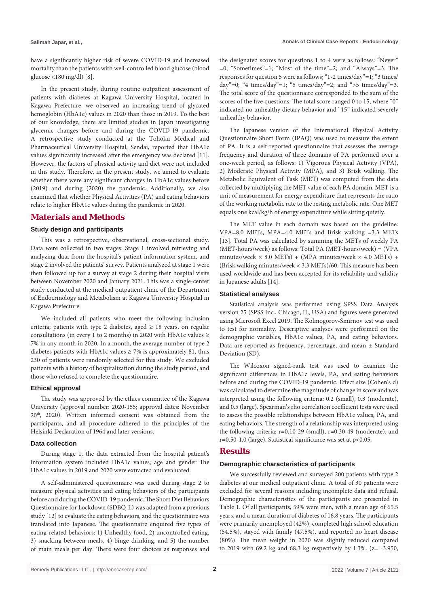have a significantly higher risk of severe COVID-19 and increased mortality than the patients with well-controlled blood glucose (blood glucose <180 mg/dl) [8].

In the present study, during routine outpatient assessment of patients with diabetes at Kagawa University Hospital, located in Kagawa Prefecture, we observed an increasing trend of glycated hemoglobin (HbA1c) values in 2020 than those in 2019. To the best of our knowledge, there are limited studies in Japan investigating glycemic changes before and during the COVID-19 pandemic. A retrospective study conducted at the Tohoku Medical and Pharmaceutical University Hospital, Sendai, reported that HbA1c values significantly increased after the emergency was declared [11]. However, the factors of physical activity and diet were not included in this study. Therefore, in the present study, we aimed to evaluate whether there were any significant changes in HbA1c values before (2019) and during (2020) the pandemic. Additionally, we also examined that whether Physical Activities (PA) and eating behaviors relate to higher HbA1c values during the pandemic in 2020.

## **Materials and Methods**

#### **Study design and participants**

This was a retrospective, observational, cross-sectional study. Data were collected in two stages: Stage 1 involved retrieving and analyzing data from the hospital's patient information system, and stage 2 involved the patients' survey. Patients analyzed at stage 1 were then followed up for a survey at stage 2 during their hospital visits between November 2020 and January 2021. This was a single-center study conducted at the medical outpatient clinic of the Department of Endocrinology and Metabolism at Kagawa University Hospital in Kagawa Prefecture.

We included all patients who meet the following inclusion criteria; patients with type 2 diabetes, aged  $\geq$  18 years, on regular consultations (in every 1 to 2 months) in 2020 with HbA1c values  $\ge$ 7% in any month in 2020. In a month, the average number of type 2 diabetes patients with HbA1c values  $\geq$  7% is approximately 81, thus 230 of patients were randomly selected for this study. We excluded patients with a history of hospitalization during the study period, and those who refused to complete the questionnaire.

#### **Ethical approval**

The study was approved by the ethics committee of the Kagawa University (approval number: 2020-155; approval dates: November 20th, 2020). Written informed consent was obtained from the participants, and all procedure adhered to the principles of the Helsinki Declaration of 1964 and later versions.

#### **Data collection**

During stage 1, the data extracted from the hospital patient's information system included HbA1c values; age and gender The HbA1c values in 2019 and 2020 were extracted and evaluated.

A self-administered questionnaire was used during stage 2 to measure physical activities and eating behaviors of the participants before and during the COVID-19 pandemic. The Short Diet Behaviors Questionnaire for Lockdown (SDBQ-L) was adapted from a previous study [12] to evaluate the eating behaviors, and the questionnaire was translated into Japanese. The questionnaire enquired five types of eating-related behaviors: 1) Unhealthy food, 2) uncontrolled eating, 3) snacking between meals, 4) binge drinking, and 5) the number of main meals per day. There were four choices as responses and the designated scores for questions 1 to 4 were as follows: "Never" =0; "Sometimes"=1; "Most of the time"=2; and "Always"=3. The responses for question 5 were as follows; "1-2 times/day"=1; "3 times/ day"=0; "4 times/day"=1; "5 times/day"=2; and ">5 times/day"=3. The total score of the questionnaire corresponded to the sum of the scores of the five questions. The total score ranged 0 to 15, where "0" indicated no unhealthy dietary behavior and "15" indicated severely unhealthy behavior.

The Japanese version of the International Physical Activity Questionnaire Short Form (IPAQ) was used to measure the extent of PA. It is a self-reported questionnaire that assesses the average frequency and duration of three domains of PA performed over a one-week period, as follows: 1) Vigorous Physical Activity (VPA), 2) Moderate Physical Activity (MPA), and 3) Brisk walking. The Metabolic Equivalent of Task (MET) was computed from the data collected by multiplying the MET value of each PA domain. MET is a unit of measurement for energy expenditure that represents the ratio of the working metabolic rate to the resting metabolic rate. One MET equals one kcal/kg/h of energy expenditure while sitting quietly.

The MET value in each domain was based on the guideline: VPA=8.0 METs, MPA=4.0 METs and Brisk walking =3.3 METs [13]. Total PA was calculated by summing the METs of weekly PA (MET-hours/week) as follows: Total PA (MET-hours/week) = (VPA minutes/week  $\times$  8.0 METs) + (MPA minutes/week  $\times$  4.0 METs) + (Brisk walking minutes/week × 3.3 METs)/60. This measure has been used worldwide and has been accepted for its reliability and validity in Japanese adults [14].

#### **Statistical analyses**

Statistical analysis was performed using SPSS Data Analysis version 25 (SPSS Inc., Chicago, IL, USA) and figures were generated using Microsoft Excel 2019. The Kolmogorov-Smirnov test was used to test for normality. Descriptive analyses were performed on the demographic variables, HbA1c values, PA, and eating behaviors. Data are reported as frequency, percentage, and mean ± Standard Deviation (SD).

The Wilcoxon signed-rank test was used to examine the significant differences in HbA1c levels, PA, and eating behaviors before and during the COVID-19 pandemic. Effect size (Cohen's d) was calculated to determine the magnitude of change in score and was interpreted using the following criteria: 0.2 (small), 0.3 (moderate), and 0.5 (large). Spearman's rho correlation coefficient tests were used to assess the possible relationships between HbA1c values, PA, and eating behaviors. The strength of a relationship was interpreted using the following criteria: r=0.10-29 (small), r=0.30-49 (moderate), and r=0.50-1.0 (large). Statistical significance was set at p<0.05.

## **Results**

#### **Demographic characteristics of participants**

We successfully reviewed and surveyed 200 patients with type 2 diabetes at our medical outpatient clinic. A total of 30 patients were excluded for several reasons including incomplete data and refusal. Demographic characteristics of the participants are presented in Table 1. Of all participants, 59% were men, with a mean age of 65.5 years, and a mean duration of diabetes of 16.8 years. The participants were primarily unemployed (42%), completed high school education (54.5%), stayed with family (47.5%), and reported no heart disease (80%). The mean weight in 2020 was slightly reduced compared to 2019 with 69.2 kg and 68.3 kg respectively by 1.3%. (z= -3.950,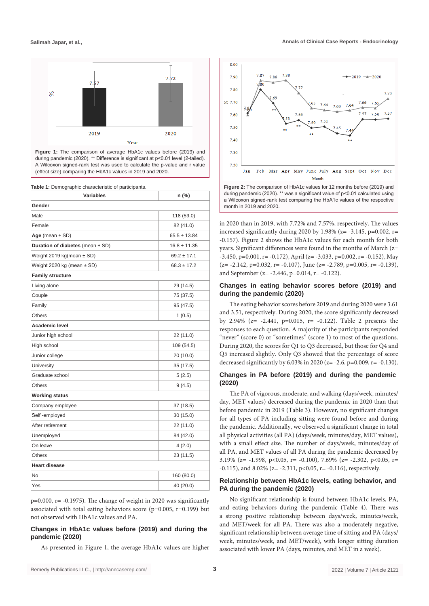

**Figure 1:** The comparison of average HbA1c values before (2019) and during pandemic (2020). \*\* Difference is significant at p<0.01 level (2-tailed). A Wilcoxon signed-rank test was used to calculate the p-value and r value (effect size) comparing the HbA1c values in 2019 and 2020.

**Table 1:** Demographic characteristic of participants.

| <b>Variables</b>                     | n (%)            |
|--------------------------------------|------------------|
| Gender                               |                  |
| Male                                 | 118 (59.0)       |
| Female                               | 82 (41.0)        |
| Age (mean $\pm$ SD)                  | $65.5 \pm 13.84$ |
| Duration of diabetes (mean $\pm$ SD) | $16.8 \pm 11.35$ |
| Weight 2019 kg(mean ± SD)            | $69.2 \pm 17.1$  |
| Weight 2020 kg (mean $\pm$ SD)       | $68.3 \pm 17.2$  |
| <b>Family structure</b>              |                  |
| Living alone                         | 29 (14.5)        |
| Couple                               | 75 (37.5)        |
| Family                               | 95 (47.5)        |
| <b>Others</b>                        | 1(0.5)           |
| Academic level                       |                  |
| Junior high school                   | 22 (11.0)        |
| High school                          | 109 (54.5)       |
| Junior college                       | 20 (10.0)        |
| University                           | 35 (17.5)        |
| Graduate school                      | 5(2.5)           |
| Others                               | 9(4.5)           |
| <b>Working status</b>                |                  |
| Company employee                     | 37 (18.5)        |
| Self-employed                        | 30(15.0)         |
| After retirement                     | 22 (11.0)        |
| Unemployed                           | 84 (42.0)        |
| On leave                             | 4(2.0)           |
| <b>Others</b>                        | 23 (11.5)        |
| <b>Heart disease</b>                 |                  |
| No                                   | 160 (80.0)       |
| Yes                                  | 40 (20.0)        |

 $p=0.000$ ,  $r=-0.1975$ ). The change of weight in 2020 was significantly associated with total eating behaviors score ( $p=0.005$ ,  $r=0.199$ ) but not observed with HbA1c values and PA.

#### **Changes in HbA1c values before (2019) and during the pandemic (2020)**

As presented in Figure 1, the average HbA1c values are higher



during pandemic (2020). \*\* was a significant value of p<0.01 calculated using a Wilcoxon signed-rank test comparing the HbA1c values of the respective month in 2019 and 2020.

in 2020 than in 2019, with 7.72% and 7.57%, respectively. The values increased significantly during 2020 by 1.98% (z= -3.145, p=0.002, r= -0.157). Figure 2 shows the HbA1c values for each month for both years. Significant differences were found in the months of March (z=  $-3.450$ , p=0.001, r=  $-0.172$ ), April (z=  $-3.033$ , p=0.002, r=  $-0.152$ ), May  $(z= -2.142, p=0.032, r= -0.107)$ , June  $(z= -2.789, p=0.005, r= -0.139)$ , and September (z= -2.446, p=0.014, r= -0.122).

## **Changes in eating behavior scores before (2019) and during the pandemic (2020)**

The eating behavior scores before 2019 and during 2020 were 3.61 and 3.51, respectively. During 2020, the score significantly decreased by 2.94% ( $z = -2.441$ ,  $p=0.015$ ,  $r = -0.122$ ). Table 2 presents the responses to each question. A majority of the participants responded "never" (score 0) or "sometimes" (score 1) to most of the questions. During 2020, the scores for Q1 to Q3 decreased, but those for Q4 and Q5 increased slightly. Only Q3 showed that the percentage of score decreased significantly by 6.03% in 2020 (z= -2.6, p=0.009, r= -0.130).

#### **Changes in PA before (2019) and during the pandemic (2020)**

The PA of vigorous, moderate, and walking (days/week, minutes/ day, MET values) decreased during the pandemic in 2020 than that before pandemic in 2019 (Table 3). However, no significant changes for all types of PA including sitting were found before and during the pandemic. Additionally, we observed a significant change in total all physical activities (all PA) (days/week, minutes/day, MET values), with a small effect size. The number of days/week, minutes/day of all PA, and MET values of all PA during the pandemic decreased by 3.19% ( $z = -1.998$ ,  $p < 0.05$ ,  $r = -0.100$ ), 7.69% ( $z = -2.302$ ,  $p < 0.05$ ,  $r =$  $-0.115$ ), and 8.02% (z=  $-2.311$ , p<0.05, r=  $-0.116$ ), respectively.

#### **Relationship between HbA1c levels, eating behavior, and PA during the pandemic (2020)**

No significant relationship is found between HbA1c levels, PA, and eating behaviors during the pandemic (Table 4). There was a strong positive relationship between days/week, minutes/week, and MET/week for all PA. There was also a moderately negative, significant relationship between average time of sitting and PA (days/ week, minutes/week, and MET/week), with longer sitting duration associated with lower PA (days, minutes, and MET in a week).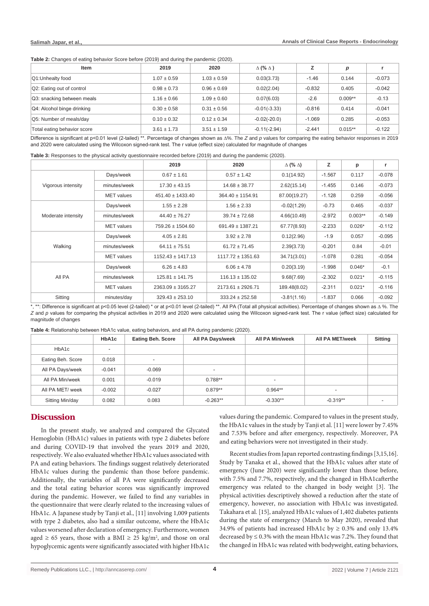**Table 2:** Changes of eating behavior Score before (2019) and during the pandemic (2020).

| Item                        | 2019            | 2020            | $\Delta$ (% $\Delta$ ) |          | р         |          |
|-----------------------------|-----------------|-----------------|------------------------|----------|-----------|----------|
| Q1:Unhealty food            | $1.07 \pm 0.59$ | $1.03 \pm 0.59$ | 0.03(3.73)             | $-1.46$  | 0.144     | $-0.073$ |
| Q2: Eating out of control   | $0.98 \pm 0.73$ | $0.96 \pm 0.69$ | 0.02(2.04)             | $-0.832$ | 0.405     | $-0.042$ |
| Q3: snacking between meals  | $1.16 \pm 0.66$ | $1.09 \pm 0.60$ | 0.07(6.03)             | $-2.6$   | $0.009**$ | $-0.13$  |
| Q4: Alcohol binge drinking  | $0.30 \pm 0.58$ | $0.31 \pm 0.56$ | $-0.01(-3.33)$         | $-0.816$ | 0.414     | $-0.041$ |
| Q5: Number of meals/day     | $0.10 \pm 0.32$ | $0.12 \pm 0.34$ | $-0.02(-20.0)$         | $-1.069$ | 0.285     | $-0.053$ |
| Total eating behavior score | $3.61 \pm 1.73$ | $3.51 \pm 1.59$ | $-0.11(-2.94)$         | $-2.441$ | $0.015**$ | $-0.122$ |

Difference is significant at p<0.01 level (2-tailed) \*\*. Percentage of changes shown as **∆**%. The *Z* and *p* values for comparing the eating behavior responses in 2019 and 2020 were calculated using the Wilcoxon signed-rank test. The r value (effect size) calculated for magnitude of changes

**Table 3:** Responses to the physical activity questionnaire recorded before (2019) and during the pandemic (2020).

|                    |                   | 2019                  | 2020                  | $\Delta$ (% $\Delta$ ) | z        | p         | r        |
|--------------------|-------------------|-----------------------|-----------------------|------------------------|----------|-----------|----------|
| Vigorous intensity | Days/week         | $0.67 \pm 1.61$       | $0.57 \pm 1.42$       | 0.1(14.92)             | $-1.567$ | 0.117     | $-0.078$ |
|                    | minutes/week      | $17.30 \pm 43.15$     | $14.68 \pm 38.77$     | 2.62(15.14)            | $-1.455$ | 0.146     | $-0.073$ |
|                    | <b>MET</b> values | $451.40 \pm 1433.40$  | $364.40 \pm 1154.91$  | 87.00(19.27)           | $-1.128$ | 0.259     | $-0.056$ |
| Moderate intensity | Days/week         | $1.55 \pm 2.28$       | $1.56 \pm 2.33$       | $-0.02(1.29)$          | $-0.73$  | 0.465     | $-0.037$ |
|                    | minutes/week      | $44.40 \pm 76.27$     | $39.74 \pm 72.68$     | 4.66(10.49)            | $-2.972$ | $0.003**$ | $-0.149$ |
|                    | <b>MET</b> values | $759.26 \pm 1504.60$  | $691.49 \pm 1387.21$  | 67.77(8.93)            | $-2.233$ | $0.026*$  | $-0.112$ |
| Walking            | Days/week         | $4.05 \pm 2.81$       | $3.92 \pm 2.78$       | 0.12(2.96)             | $-1.9$   | 0.057     | $-0.095$ |
|                    | minutes/week      | $64.11 \pm 75.51$     | $61.72 \pm 71.45$     | 2.39(3.73)             | $-0.201$ | 0.84      | $-0.01$  |
|                    | <b>MET</b> values | $1152.43 \pm 1417.13$ | $1117.72 \pm 1351.63$ | 34.71(3.01)            | $-1.078$ | 0.281     | $-0.054$ |
| All PA             | Days/week         | $6.26 \pm 4.83$       | $6.06 \pm 4.78$       | 0.20(3.19)             | $-1.998$ | $0.046*$  | $-0.1$   |
|                    | minutes/week      | $125.81 \pm 141.75$   | $116.13 \pm 135.02$   | 9.68(7.69)             | $-2.302$ | $0.021*$  | $-0.115$ |
|                    | <b>MET</b> values | $2363.09 \pm 3165.27$ | $2173.61 \pm 2926.71$ | 189.48(8.02)           | $-2.311$ | $0.021*$  | $-0.116$ |
| Sitting            | minutes/day       | $329.43 \pm 253.10$   | $333.24 \pm 252.58$   | $-3.81(1.16)$          | $-1.837$ | 0.066     | $-0.092$ |

\*, \*\*: Difference is significant at p<0.05 level (2-tailed) \* or at p<0.01 level (2-tailed) \*\*. All PA (Total all physical activities). Percentage of changes shown as **∆** %. The *Z* and *p* values for comparing the physical activities in 2019 and 2020 were calculated using the Wilcoxon signed-rank test. The r value (effect size) calculated for magnitude of changes

**Table 4:** Relationship between HbA1c value, eating behaviors, and all PA during pandemic (2020).

|                   | HbA1c    | <b>Eating Beh. Score</b> | All PA Days/week | All PA Min/week          | All PA MET/week | <b>Sitting</b> |
|-------------------|----------|--------------------------|------------------|--------------------------|-----------------|----------------|
| HbA1c             |          |                          |                  |                          |                 |                |
| Eating Beh. Score | 0.018    | $\overline{\phantom{a}}$ |                  |                          |                 |                |
| All PA Days/week  | $-0.041$ | $-0.069$                 | ۰                |                          |                 |                |
| All PA Min/week   | 0.001    | $-0.019$                 | $0.788**$        | $\overline{\phantom{a}}$ |                 |                |
| All PA MET/ week  | $-0.002$ | $-0.027$                 | $0.879**$        | $0.964**$                |                 |                |
| Sitting Min/day   | 0.082    | 0.083                    | $-0.263**$       | $-0.330**$               | $-0.319**$      | ۰              |

## **Discussion**

In the present study, we analyzed and compared the Glycated Hemoglobin (HbA1c) values in patients with type 2 diabetes before and during COVID-19 that involved the years 2019 and 2020, respectively. We also evaluated whether HbA1c values associated with PA and eating behaviors. The findings suggest relatively deteriorated HbA1c values during the pandemic than those before pandemic. Additionally, the variables of all PA were significantly decreased and the total eating behavior scores was significantly improved during the pandemic. However, we failed to find any variables in the questionnaire that were clearly related to the increasing values of HbA1c. A Japanese study by Tanji et al., [11] involving 1,009 patients with type 2 diabetes, also had a similar outcome, where the HbA1c values worsened after declaration of emergency. Furthermore, women aged  $\geq 65$  years, those with a BMI  $\geq 25$  kg/m<sup>2</sup>, and those on oral hypoglycemic agents were significantly associated with higher HbA1c

values during the pandemic. Compared to values in the present study, the HbA1c values in the study by Tanji et al. [11] were lower by 7.45% and 7.53% before and after emergency, respectively. Moreover, PA and eating behaviors were not investigated in their study.

Recent studies from Japan reported contrasting findings [3,15,16]. Study by Tanaka et al., showed that the HbA1c values after state of emergency (June 2020) were significantly lower than those before, with 7.5% and 7.7%, respectively, and the changed in HbA1cafterthe emergency was related to the changed in body weight [3]. The physical activities descriptively showed a reduction after the state of emergency, however, no association with HbA1c was investigated. Takahara et al. [15], analyzed HbA1c values of 1,402 diabetes patients during the state of emergency (March to May 2020), revealed that 34.9% of patients had increased HbA1c by  $\geq 0.3$ % and only 13.4% decreased by ≤ 0.3% with the mean HbA1c was 7.2%. They found that the changed in HbA1c was related with bodyweight, eating behaviors,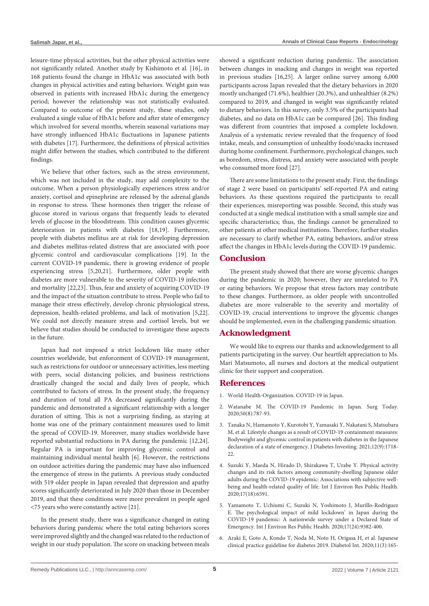leisure-time physical activities, but the other physical activities were not significantly related. Another study by Kishimoto et al. [16], in 168 patients found the change in HbA1c was associated with both changes in physical activities and eating behaviors. Weight gain was observed in patients with increased HbA1c during the emergency period; however the relationship was not statistically evaluated. Compared to outcome of the present study, these studies, only evaluated a single value of HbA1c before and after state of emergency which involved for several months, wherein seasonal variations may have strongly influenced HbA1c fluctuations in Japanese patients with diabetes [17]. Furthermore, the definitions of physical activities might differ between the studies, which contributed to the different findings.

We believe that other factors, such as the stress environment, which was not included in the study, may add complexity to the outcome. When a person physiologically experiences stress and/or anxiety, cortisol and epinephrine are released by the adrenal glands in response to stress. These hormones then trigger the release of glucose stored in various organs that frequently leads to elevated levels of glucose in the bloodstream. This condition causes glycemic deterioration in patients with diabetes [18,19]. Furthermore, people with diabetes mellitus are at risk for developing depression and diabetes mellitus-related distress that are associated with poor glycemic control and cardiovascular complications [19]. In the current COVID-19 pandemic, there is growing evidence of people experiencing stress [5,20,21]. Furthermore, older people with diabetes are more vulnerable to the severity of COVID-19 infection and mortality [22,23]. Thus, fear and anxiety of acquiring COVID-19 and the impact of the situation contribute to stress. People who fail to manage their stress effectively, develop chronic physiological stress, depression, health-related problems, and lack of motivation [5,22]. We could not directly measure stress and cortisol levels, but we believe that studies should be conducted to investigate these aspects in the future.

Japan had not imposed a strict lockdown like many other countries worldwide, but enforcement of COVID-19 management, such as restrictions for outdoor or unnecessary activities, less meeting with peers, social distancing policies, and business restrictions drastically changed the social and daily lives of people, which contributed to factors of stress. In the present study, the frequency and duration of total all PA decreased significantly during the pandemic and demonstrated a significant relationship with a longer duration of sitting. This is not a surprising finding, as staying at home was one of the primary containment measures used to limit the spread of COVID-19. Moreover, many studies worldwide have reported substantial reductions in PA during the pandemic [12,24]. Regular PA is important for improving glycemic control and maintaining individual mental health [6]. However, the restrictions on outdoor activities during the pandemic may have also influenced the emergence of stress in the patients. A previous study conducted with 519 older people in Japan revealed that depression and apathy scores significantly deteriorated in July 2020 than those in December 2019, and that these conditions were more prevalent in people aged <75 years who were constantly active [21].

In the present study, there was a significance changed in eating behaviors during pandemic where the total eating behaviors scores were improved slightly and the changed was related to the reduction of weight in our study population. The score on snacking between meals showed a significant reduction during pandemic. The association between changes in snacking and changes in weight was reported in previous studies [16,25]. A larger online survey among 6,000 participants across Japan revealed that the dietary behaviors in 2020 mostly unchanged (71.6%), healthier (20.3%), and unhealthier (8.2%) compared to 2019, and changed in weight was significantly related to dietary behaviors. In this survey, only 3.5% of the participants had diabetes, and no data on HbA1c can be compared [26]. This finding was different from countries that imposed a complete lockdown. Analysis of a systematic review revealed that the frequency of food intake, meals, and consumption of unhealthy foods/snacks increased during home confinement. Furthermore, psychological changes, such as boredom, stress, distress, and anxiety were associated with people who consumed more food [27].

There are some limitations to the present study. First, the findings of stage 2 were based on participants' self-reported PA and eating behaviors. As these questions required the participants to recall their experiences, misreporting was possible. Second, this study was conducted at a single medical institution with a small sample size and specific characteristics; thus, the findings cannot be generalized to other patients at other medical institutions. Therefore, further studies are necessary to clarify whether PA, eating behaviors, and/or stress affect the changes in HbA1c levels during the COVID-19 pandemic.

## **Conclusion**

The present study showed that there are worse glycemic changes during the pandemic in 2020; however, they are unrelated to PA or eating behaviors. We propose that stress factors may contribute to these changes. Furthermore, as older people with uncontrolled diabetes are more vulnerable to the severity and mortality of COVID-19, crucial interventions to improve the glycemic changes should be implemented, even in the challenging pandemic situation.

## **Acknowledgment**

We would like to express our thanks and acknowledgement to all patients participating in the survey. Our heartfelt appreciation to Ms. Mari Matsumoto, all nurses and doctors at the medical outpatient clinic for their support and cooperation.

### **References**

- 1. [World-Health-Organization. COVID-19 in Japan.](https://covid19.who.int/region/wpro/country/jp)
- 2. [Watanabe M. The COVID-19 Pandemic in Japan. Surg Today.](https://pubmed.ncbi.nlm.nih.gov/32462468/)  [2020;50\(8\):787-93.](https://pubmed.ncbi.nlm.nih.gov/32462468/)
- 3. [Tanaka N, Hamamoto Y, Kurotobi Y, Yamasaki Y, Nakatani S, Matsubara](https://pubmed.ncbi.nlm.nih.gov/33599073/)  [M, et al. Lifestyle changes as a result of COVID-19 containment measures:](https://pubmed.ncbi.nlm.nih.gov/33599073/)  [Bodyweight and glycemic control in patients with diabetes in the Japanese](https://pubmed.ncbi.nlm.nih.gov/33599073/)  [declaration of a state of emergency. J Diabetes Investing. 2021;12\(9\):1718-](https://pubmed.ncbi.nlm.nih.gov/33599073/) [22.](https://pubmed.ncbi.nlm.nih.gov/33599073/)
- 4. [Suzuki Y, Maeda N, Hirado D, Shirakawa T, Urabe Y. Physical activity](https://pubmed.ncbi.nlm.nih.gov/32927829/)  [changes and its risk factors among community-dwelling Japanese older](https://pubmed.ncbi.nlm.nih.gov/32927829/)  [adults during the COVID-19 epidemic: Associations with subjective well](https://pubmed.ncbi.nlm.nih.gov/32927829/)[being and health-related quality of life. Int J Environ Res Public Health.](https://pubmed.ncbi.nlm.nih.gov/32927829/)  [2020;17\(18\):6591.](https://pubmed.ncbi.nlm.nih.gov/32927829/)
- 5. [Yamamoto T, Uchiumi C, Suzuki N, Yoshimoto J, Murillo-Rodriguez](https://pubmed.ncbi.nlm.nih.gov/33333893/)  [E. The psychological impact of mild lockdown' in Japan during the](https://pubmed.ncbi.nlm.nih.gov/33333893/)  [COVID-19 pandemic: A nationwide survey under a Declared State of](https://pubmed.ncbi.nlm.nih.gov/33333893/)  [Emergency. Int J Environ Res Public Health. 2020;17\(24\):9382-400.](https://pubmed.ncbi.nlm.nih.gov/33333893/)
- 6. [Araki E, Goto A, Kondo T, Noda M, Noto H, Origasa H, et al. Japanese](https://pubmed.ncbi.nlm.nih.gov/32802702/)  [clinical practice guideline for diabetes 2019. Diabetol Int. 2020;11\(3\):165-](https://pubmed.ncbi.nlm.nih.gov/32802702/)